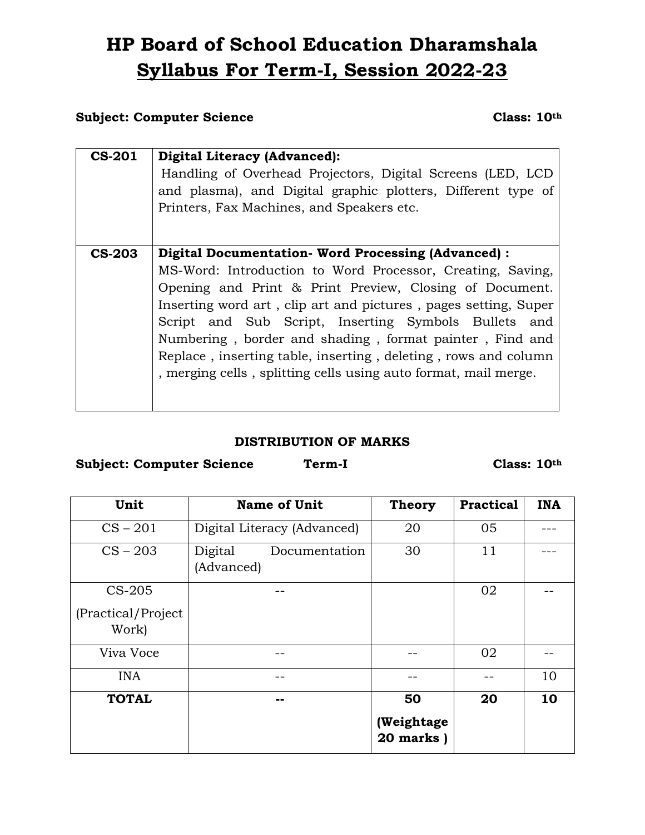# **HP Board of School Education Dharamshala Syllabus For Term-I, Session 2022-23**

### **Subject: Computer Science Class: 10th**

| <b>CS-201</b> | <b>Digital Literacy (Advanced):</b><br>Handling of Overhead Projectors, Digital Screens (LED, LCD<br>and plasma), and Digital graphic plotters, Different type of<br>Printers, Fax Machines, and Speakers etc. |  |  |  |  |
|---------------|----------------------------------------------------------------------------------------------------------------------------------------------------------------------------------------------------------------|--|--|--|--|
|               |                                                                                                                                                                                                                |  |  |  |  |
| <b>CS-203</b> | Digital Documentation- Word Processing (Advanced) :                                                                                                                                                            |  |  |  |  |
|               | MS-Word: Introduction to Word Processor, Creating, Saving,                                                                                                                                                     |  |  |  |  |
|               | Opening and Print & Print Preview, Closing of Document.                                                                                                                                                        |  |  |  |  |
|               | Inserting word art, clip art and pictures, pages setting, Super                                                                                                                                                |  |  |  |  |
|               | Script and Sub Script, Inserting Symbols Bullets and                                                                                                                                                           |  |  |  |  |
|               | Numbering, border and shading, format painter, Find and                                                                                                                                                        |  |  |  |  |
|               | Replace, inserting table, inserting, deleting, rows and column<br>, merging cells, splitting cells using auto format, mail merge.                                                                              |  |  |  |  |
|               |                                                                                                                                                                                                                |  |  |  |  |
|               |                                                                                                                                                                                                                |  |  |  |  |
|               |                                                                                                                                                                                                                |  |  |  |  |

#### **DISTRIBUTION OF MARKS**

**Subject: Computer Science Term-I Class: 10th**

| Unit                                  | <b>Name of Unit</b>                    | <b>Theory</b>                 | <b>Practical</b> | <b>INA</b> |
|---------------------------------------|----------------------------------------|-------------------------------|------------------|------------|
| $CS - 201$                            | Digital Literacy (Advanced)            | 20                            | 05               |            |
| $CS - 203$                            | Digital<br>Documentation<br>(Advanced) | 30                            | 11               |            |
| CS-205<br>(Practical/Project<br>Work) |                                        |                               | 02               |            |
| Viva Voce                             |                                        |                               | 02               |            |
| <b>INA</b>                            |                                        |                               |                  | 10         |
| <b>TOTAL</b>                          |                                        | 50<br>(Weightage<br>20 marks) | 20               | 10         |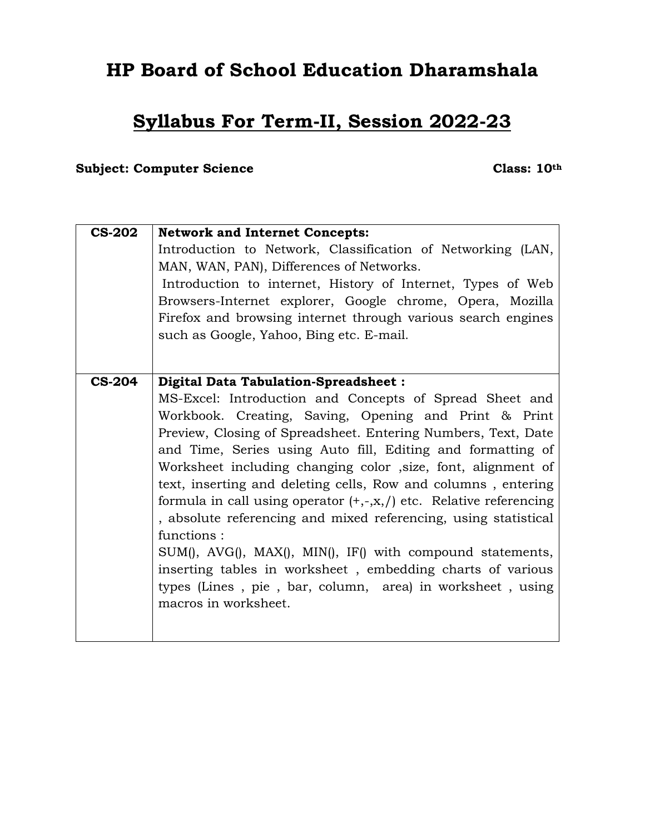## **HP Board of School Education Dharamshala**

## **Syllabus For Term-II, Session 2022-23**

## **Subject: Computer Science Class: 10th**

| <b>CS-202</b> | <b>Network and Internet Concepts:</b>                                 |  |  |  |  |  |  |
|---------------|-----------------------------------------------------------------------|--|--|--|--|--|--|
|               | Introduction to Network, Classification of Networking (LAN,           |  |  |  |  |  |  |
|               | MAN, WAN, PAN), Differences of Networks.                              |  |  |  |  |  |  |
|               | Introduction to internet, History of Internet, Types of Web           |  |  |  |  |  |  |
|               | Browsers-Internet explorer, Google chrome, Opera, Mozilla             |  |  |  |  |  |  |
|               | Firefox and browsing internet through various search engines          |  |  |  |  |  |  |
|               |                                                                       |  |  |  |  |  |  |
|               | such as Google, Yahoo, Bing etc. E-mail.                              |  |  |  |  |  |  |
|               |                                                                       |  |  |  |  |  |  |
| <b>CS-204</b> | Digital Data Tabulation-Spreadsheet :                                 |  |  |  |  |  |  |
|               |                                                                       |  |  |  |  |  |  |
|               | MS-Excel: Introduction and Concepts of Spread Sheet and               |  |  |  |  |  |  |
|               | Workbook. Creating, Saving, Opening and Print & Print                 |  |  |  |  |  |  |
|               | Preview, Closing of Spreadsheet. Entering Numbers, Text, Date         |  |  |  |  |  |  |
|               | and Time, Series using Auto fill, Editing and formatting of           |  |  |  |  |  |  |
|               | Worksheet including changing color , size, font, alignment of         |  |  |  |  |  |  |
|               | text, inserting and deleting cells, Row and columns, entering         |  |  |  |  |  |  |
|               |                                                                       |  |  |  |  |  |  |
|               | formula in call using operator $(+,-,x, /)$ etc. Relative referencing |  |  |  |  |  |  |
|               | , absolute referencing and mixed referencing, using statistical       |  |  |  |  |  |  |
|               | functions:                                                            |  |  |  |  |  |  |
|               | $SUM(), AVG(), MAX(), MIN(), IF() with compound statements,$          |  |  |  |  |  |  |
|               | inserting tables in worksheet, embedding charts of various            |  |  |  |  |  |  |
|               | types (Lines, pie, bar, column, area) in worksheet, using             |  |  |  |  |  |  |
|               | macros in worksheet.                                                  |  |  |  |  |  |  |
|               |                                                                       |  |  |  |  |  |  |
|               |                                                                       |  |  |  |  |  |  |